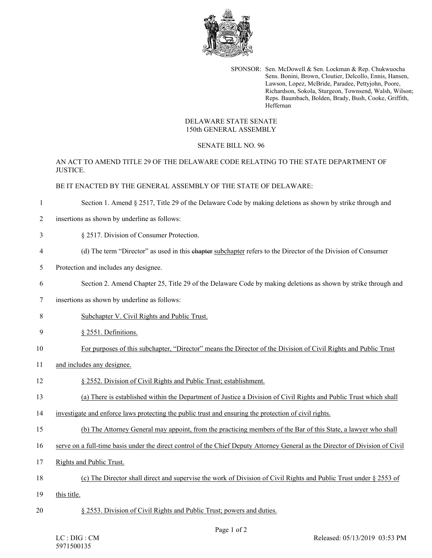

SPONSOR: Sen. McDowell & Sen. Lockman & Rep. Chukwuocha Sens. Bonini, Brown, Cloutier, Delcollo, Ennis, Hansen, Lawson, Lopez, McBride, Paradee, Pettyjohn, Poore, Richardson, Sokola, Sturgeon, Townsend, Walsh, Wilson; Reps. Baumbach, Bolden, Brady, Bush, Cooke, Griffith, Heffernan

## DELAWARE STATE SENATE 150th GENERAL ASSEMBLY

## SENATE BILL NO. 96

AN ACT TO AMEND TITLE 29 OF THE DELAWARE CODE RELATING TO THE STATE DEPARTMENT OF **JUSTICE.** 

## BE IT ENACTED BY THE GENERAL ASSEMBLY OF THE STATE OF DELAWARE:

1 Section 1. Amend § 2517, Title 29 of the Delaware Code by making deletions as shown by strike through and

- 2 insertions as shown by underline as follows:
- 3 § 2517. Division of Consumer Protection.
- 4 (d) The term "Director" as used in this chapter subchapter refers to the Director of the Division of Consumer
- 5 Protection and includes any designee.
- 6 Section 2. Amend Chapter 25, Title 29 of the Delaware Code by making deletions as shown by strike through and
- 7 insertions as shown by underline as follows:
- 8 Subchapter V. Civil Rights and Public Trust.
- 9 § 2551. Definitions.
- 10 For purposes of this subchapter, "Director" means the Director of the Division of Civil Rights and Public Trust
- 11 and includes any designee.
- 12 § 2552. Division of Civil Rights and Public Trust; establishment.
- 13 (a) There is established within the Department of Justice a Division of Civil Rights and Public Trust which shall
- 14 investigate and enforce laws protecting the public trust and ensuring the protection of civil rights.
- 15 (b) The Attorney General may appoint, from the practicing members of the Bar of this State, a lawyer who shall
- 16 serve on a full-time basis under the direct control of the Chief Deputy Attorney General as the Director of Division of Civil
- 17 Rights and Public Trust.
- 18 (c) The Director shall direct and supervise the work of Division of Civil Rights and Public Trust under § 2553 of
- 19 this title.
- 20 § 2553. Division of Civil Rights and Public Trust; powers and duties.